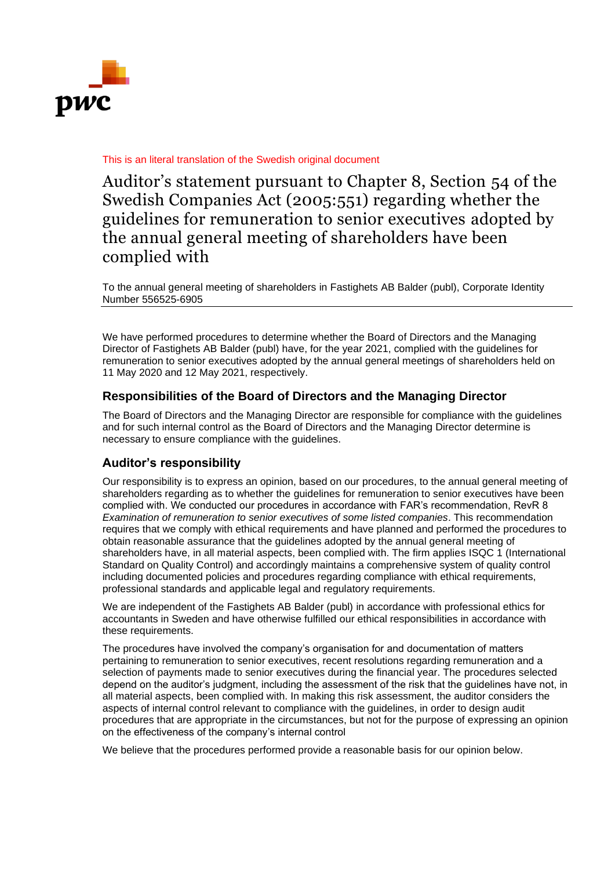

## This is an literal translation of the Swedish original document

Auditor's statement pursuant to Chapter 8, Section 54 of the Swedish Companies Act (2005:551) regarding whether the guidelines for remuneration to senior executives adopted by the annual general meeting of shareholders have been complied with

To the annual general meeting of shareholders in Fastighets AB Balder (publ), Corporate Identity Number 556525-6905

We have performed procedures to determine whether the Board of Directors and the Managing Director of Fastighets AB Balder (publ) have, for the year 2021, complied with the guidelines for remuneration to senior executives adopted by the annual general meetings of shareholders held on 11 May 2020 and 12 May 2021, respectively.

## **Responsibilities of the Board of Directors and the Managing Director**

The Board of Directors and the Managing Director are responsible for compliance with the guidelines and for such internal control as the Board of Directors and the Managing Director determine is necessary to ensure compliance with the guidelines.

## **Auditor's responsibility**

Our responsibility is to express an opinion, based on our procedures, to the annual general meeting of shareholders regarding as to whether the guidelines for remuneration to senior executives have been complied with. We conducted our procedures in accordance with FAR's recommendation, RevR 8 *Examination of remuneration to senior executives of some listed companies*. This recommendation requires that we comply with ethical requirements and have planned and performed the procedures to obtain reasonable assurance that the guidelines adopted by the annual general meeting of shareholders have, in all material aspects, been complied with. The firm applies ISQC 1 (International Standard on Quality Control) and accordingly maintains a comprehensive system of quality control including documented policies and procedures regarding compliance with ethical requirements, professional standards and applicable legal and regulatory requirements.

We are independent of the Fastighets AB Balder (publ) in accordance with professional ethics for accountants in Sweden and have otherwise fulfilled our ethical responsibilities in accordance with these requirements.

The procedures have involved the company's organisation for and documentation of matters pertaining to remuneration to senior executives, recent resolutions regarding remuneration and a selection of payments made to senior executives during the financial year. The procedures selected depend on the auditor's judgment, including the assessment of the risk that the guidelines have not, in all material aspects, been complied with. In making this risk assessment, the auditor considers the aspects of internal control relevant to compliance with the guidelines, in order to design audit procedures that are appropriate in the circumstances, but not for the purpose of expressing an opinion on the effectiveness of the company's internal control

We believe that the procedures performed provide a reasonable basis for our opinion below.